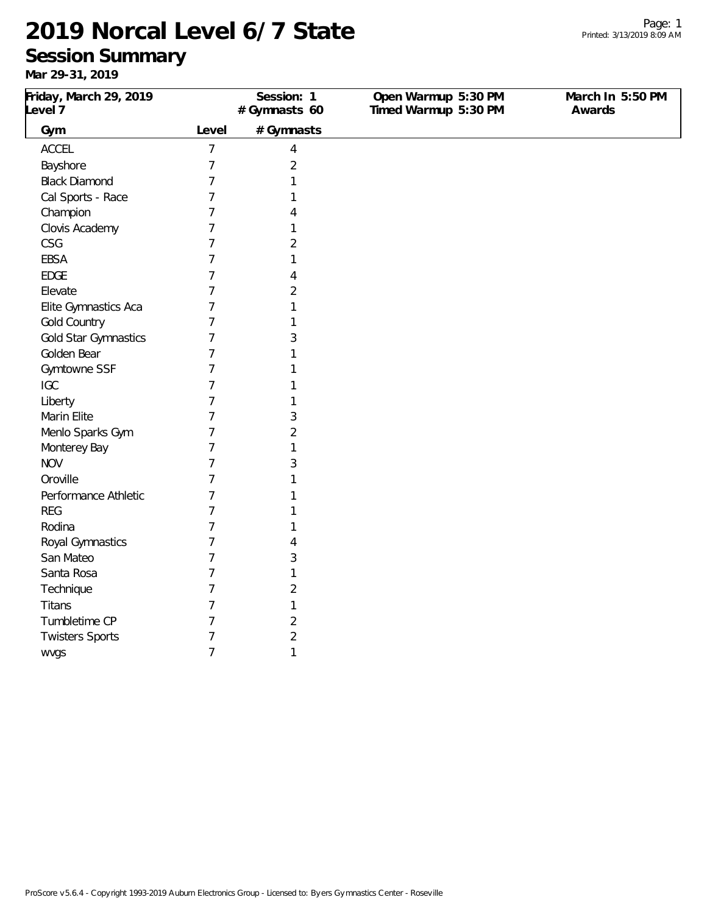San Mateo 7 3 Santa Rosa 7 1 Technique 7 2 Titans 7 1 Tumbletime CP 7 2 Twisters Sports 7 2 wvgs 7 1

### **Session Summary**

| . <i>.</i> . <i>.</i>             |       |                            |                                             |                            |
|-----------------------------------|-------|----------------------------|---------------------------------------------|----------------------------|
| Friday, March 29, 2019<br>Level 7 |       | Session: 1<br>#Gymnasts 60 | Open Warmup 5:30 PM<br>Timed Warmup 5:30 PM | March In 5:50 PM<br>Awards |
| Gym                               | Level | #Gymnasts                  |                                             |                            |
| <b>ACCEL</b>                      | 7     | 4                          |                                             |                            |
| Bayshore                          |       | 2                          |                                             |                            |
| <b>Black Diamond</b>              |       |                            |                                             |                            |
| Cal Sports - Race                 |       |                            |                                             |                            |
| Champion                          |       | 4                          |                                             |                            |
| Clovis Academy                    | 7     |                            |                                             |                            |
| CSG                               | 7     | 2                          |                                             |                            |
| <b>EBSA</b>                       |       |                            |                                             |                            |
| <b>EDGE</b>                       |       | 4                          |                                             |                            |
| Elevate                           |       | $\overline{2}$             |                                             |                            |
| Elite Gymnastics Aca              |       |                            |                                             |                            |
| Gold Country                      |       |                            |                                             |                            |
| Gold Star Gymnastics              |       | 3                          |                                             |                            |
| Golden Bear                       |       |                            |                                             |                            |
| Gymtowne SSF                      |       |                            |                                             |                            |
| <b>IGC</b>                        |       |                            |                                             |                            |
| Liberty                           |       |                            |                                             |                            |
| Marin Elite                       |       | 3                          |                                             |                            |
| Menlo Sparks Gym                  |       | $\overline{2}$             |                                             |                            |
| Monterey Bay                      |       |                            |                                             |                            |
| <b>NOV</b>                        |       | 3                          |                                             |                            |
| Oroville                          |       |                            |                                             |                            |
| Performance Athletic              |       |                            |                                             |                            |
| <b>REG</b>                        |       |                            |                                             |                            |
| Rodina                            |       |                            |                                             |                            |
| Royal Gymnastics                  | 7     | 4                          |                                             |                            |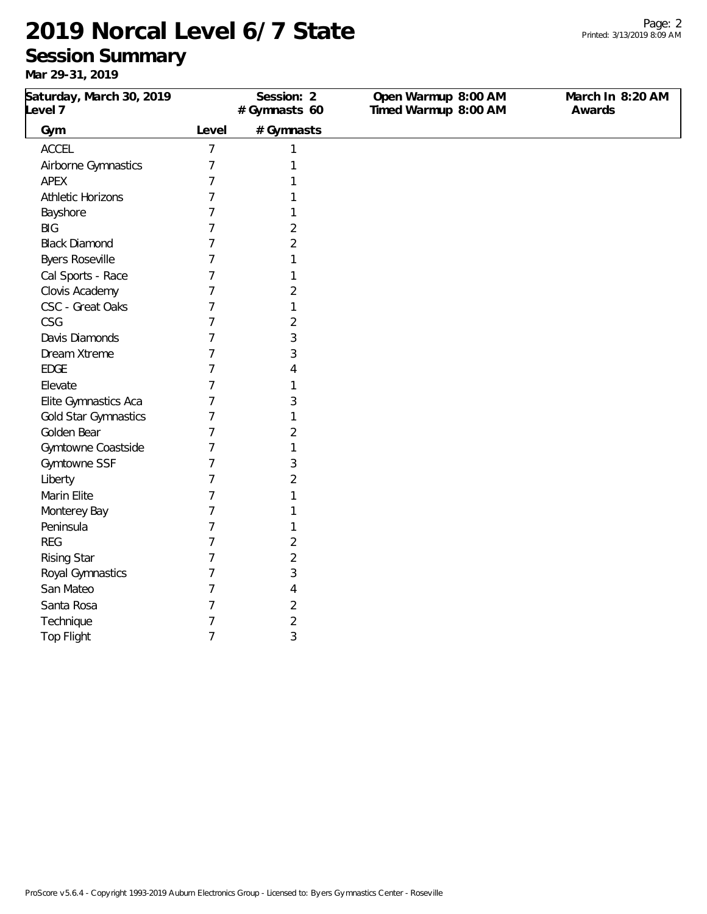### **Session Summary**

| Saturday, March 30, 2019<br>Level 7 |                | Session: 2<br>#Gymnasts 60 | Open Warmup 8:00 AM<br>Timed Warmup 8:00 AM | March In 8:20 AM<br>Awards |
|-------------------------------------|----------------|----------------------------|---------------------------------------------|----------------------------|
| Gym                                 | Level          | #Gymnasts                  |                                             |                            |
| ACCEL                               | $\overline{7}$ | 1                          |                                             |                            |
| Airborne Gymnastics                 | 7              | 1                          |                                             |                            |
| APEX                                | 7              | 1                          |                                             |                            |
| <b>Athletic Horizons</b>            | 7              |                            |                                             |                            |
| Bayshore                            | 7              |                            |                                             |                            |
| <b>BIG</b>                          | 7              | 2                          |                                             |                            |
| <b>Black Diamond</b>                | 7              | 2                          |                                             |                            |
| <b>Byers Roseville</b>              | 7              | 1                          |                                             |                            |
| Cal Sports - Race                   | 7              |                            |                                             |                            |
| Clovis Academy                      | 7              | $\overline{2}$             |                                             |                            |
| CSC - Great Oaks                    | 7              | 1                          |                                             |                            |
| CSG                                 | 7              | $\overline{2}$             |                                             |                            |
| Davis Diamonds                      | 7              | 3                          |                                             |                            |
| Dream Xtreme                        | 7              | 3                          |                                             |                            |
| <b>EDGE</b>                         | 7              | 4                          |                                             |                            |
| Elevate                             | 7              |                            |                                             |                            |
| Elite Gymnastics Aca                | 7              | 3                          |                                             |                            |
| Gold Star Gymnastics                | 7              | 1                          |                                             |                            |
| Golden Bear                         | 7              | $\overline{2}$             |                                             |                            |
| Gymtowne Coastside                  | 7              | 1                          |                                             |                            |
| Gymtowne SSF                        | 7              | 3                          |                                             |                            |
| Liberty                             | 7              | 2                          |                                             |                            |
| Marin Elite                         | 7              |                            |                                             |                            |
| Monterey Bay                        | 7              |                            |                                             |                            |
| Peninsula                           | 7              | 1                          |                                             |                            |
| <b>REG</b>                          | 7              | $\overline{2}$             |                                             |                            |
| <b>Rising Star</b>                  | 7              | $\overline{2}$             |                                             |                            |
| Royal Gymnastics                    | 7              | 3                          |                                             |                            |
| San Mateo                           | 7              | 4                          |                                             |                            |
| Santa Rosa                          | 7              | 2                          |                                             |                            |
| Technique                           | 7              | 2                          |                                             |                            |
| <b>Top Flight</b>                   | $\overline{7}$ | 3                          |                                             |                            |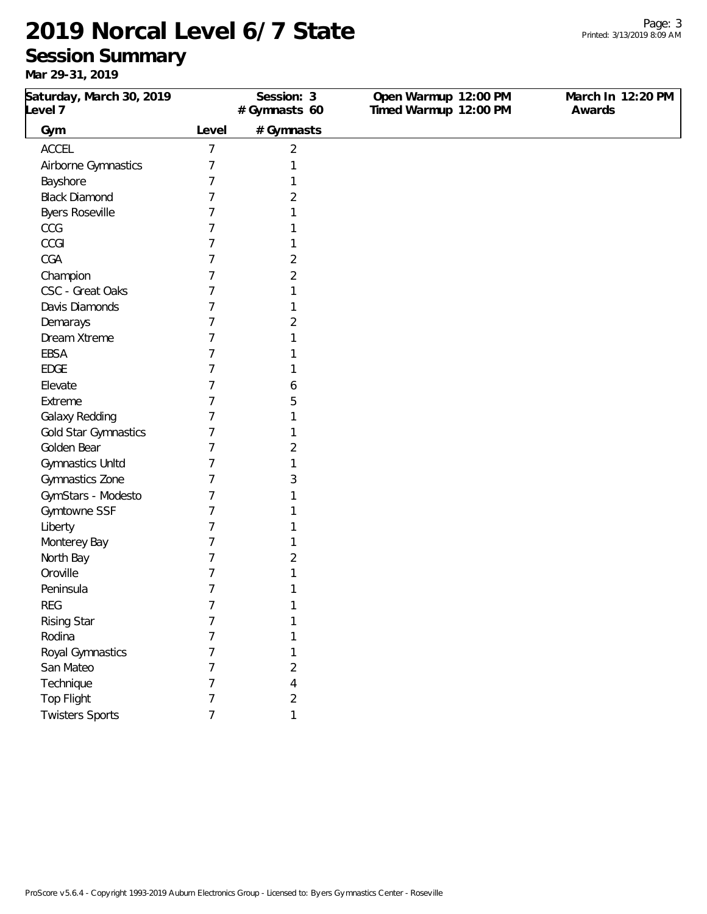### **Session Summary**

| Saturday, March 30, 2019<br>Level 7 |       | Session: 3<br>#Gymnasts 60 | Open Warmup 12:00 PM<br>Timed Warmup 12:00 PM | March In 12:20 PM<br>Awards |
|-------------------------------------|-------|----------------------------|-----------------------------------------------|-----------------------------|
| Gym                                 | Level | # Gymnasts                 |                                               |                             |
| <b>ACCEL</b>                        | 7     | $\overline{2}$             |                                               |                             |
| Airborne Gymnastics                 | 7     |                            |                                               |                             |
| Bayshore                            | 7     |                            |                                               |                             |
| <b>Black Diamond</b>                | 7     | 2                          |                                               |                             |
| <b>Byers Roseville</b>              | 7     |                            |                                               |                             |
| CCG                                 | 7     |                            |                                               |                             |
| CCGI                                | 7     |                            |                                               |                             |
| CGA                                 | 7     | 2                          |                                               |                             |
| Champion                            | 7     | 2                          |                                               |                             |
| CSC - Great Oaks                    | 7     |                            |                                               |                             |
| Davis Diamonds                      |       |                            |                                               |                             |
| Demarays                            | 7     | 2                          |                                               |                             |
| Dream Xtreme                        | 7     |                            |                                               |                             |
| EBSA                                | 7     |                            |                                               |                             |
| <b>EDGE</b>                         | 7     |                            |                                               |                             |
| Elevate                             | 7     | 6                          |                                               |                             |
| Extreme                             | 7     | 5                          |                                               |                             |
| Galaxy Redding                      | 7     |                            |                                               |                             |
| Gold Star Gymnastics                | 7     |                            |                                               |                             |
| Golden Bear                         | 7     | 2                          |                                               |                             |
| Gymnastics Unltd                    | 7     |                            |                                               |                             |
| Gymnastics Zone                     | 7     | 3                          |                                               |                             |
| GymStars - Modesto                  | 7     |                            |                                               |                             |
| Gymtowne SSF                        | 7     |                            |                                               |                             |
| Liberty                             | 7     |                            |                                               |                             |
| Monterey Bay                        |       |                            |                                               |                             |
| North Bay                           | 7     | 2                          |                                               |                             |
| Oroville                            |       |                            |                                               |                             |
| Peninsula                           | 7     |                            |                                               |                             |
| <b>REG</b>                          | 7     |                            |                                               |                             |
| <b>Rising Star</b>                  | 7     | 1                          |                                               |                             |
| Rodina                              | 7     | 1                          |                                               |                             |
| Royal Gymnastics                    | 7     | 1                          |                                               |                             |
| San Mateo                           | 7     | 2                          |                                               |                             |
| Technique                           | 7     | 4                          |                                               |                             |
| Top Flight                          | 7     | $\overline{2}$             |                                               |                             |
| <b>Twisters Sports</b>              | 7     | 1                          |                                               |                             |
|                                     |       |                            |                                               |                             |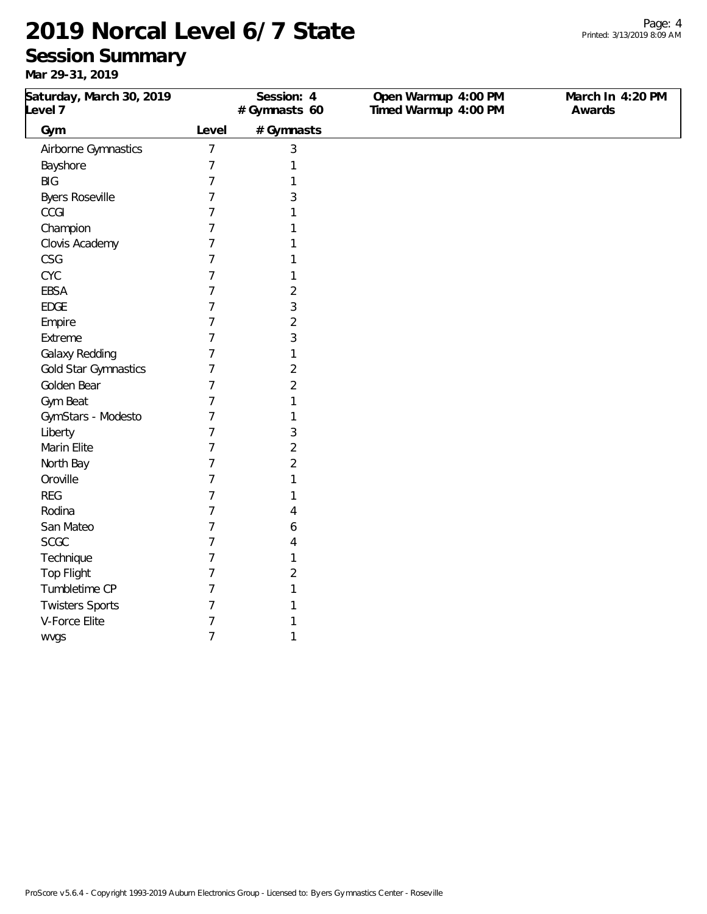Rodina 7 4 San Mateo 7 6 SCGC 7 4 Technique 7 1 Top Flight 7 2 Tumbletime CP 7 7 1 Twisters Sports 7 1 V-Force Elite 7 1 wvgs 7 1

### **Session Summary**

| 7 ו טא, ו ט- <i>ר</i> א וואו |       |              |                      |                  |
|------------------------------|-------|--------------|----------------------|------------------|
| Saturday, March 30, 2019     |       | Session: 4   | Open Warmup 4:00 PM  | March In 4:20 PM |
| Level 7                      |       | #Gymnasts 60 | Timed Warmup 4:00 PM | Awards           |
| Gym                          | Level | # Gymnasts   |                      |                  |
| Airborne Gymnastics          |       | 3            |                      |                  |
| Bayshore                     |       |              |                      |                  |
| <b>BIG</b>                   |       |              |                      |                  |
| <b>Byers Roseville</b>       |       |              |                      |                  |
| CCGI                         |       |              |                      |                  |
| Champion                     |       |              |                      |                  |
| Clovis Academy               |       |              |                      |                  |
| CSG                          |       |              |                      |                  |
| <b>CYC</b>                   |       |              |                      |                  |
| <b>EBSA</b>                  |       | 2            |                      |                  |
| <b>EDGE</b>                  |       | 3            |                      |                  |
| Empire                       |       | 2            |                      |                  |
| Extreme                      |       | 3            |                      |                  |
| Galaxy Redding               |       |              |                      |                  |
| Gold Star Gymnastics         |       | 2            |                      |                  |
| Golden Bear                  |       | 2            |                      |                  |
| Gym Beat                     |       |              |                      |                  |
| GymStars - Modesto           |       |              |                      |                  |
| Liberty                      |       | 3            |                      |                  |
| Marin Elite                  |       | 2            |                      |                  |
| North Bay                    |       | 2            |                      |                  |
| Oroville                     |       |              |                      |                  |
| <b>REG</b>                   |       |              |                      |                  |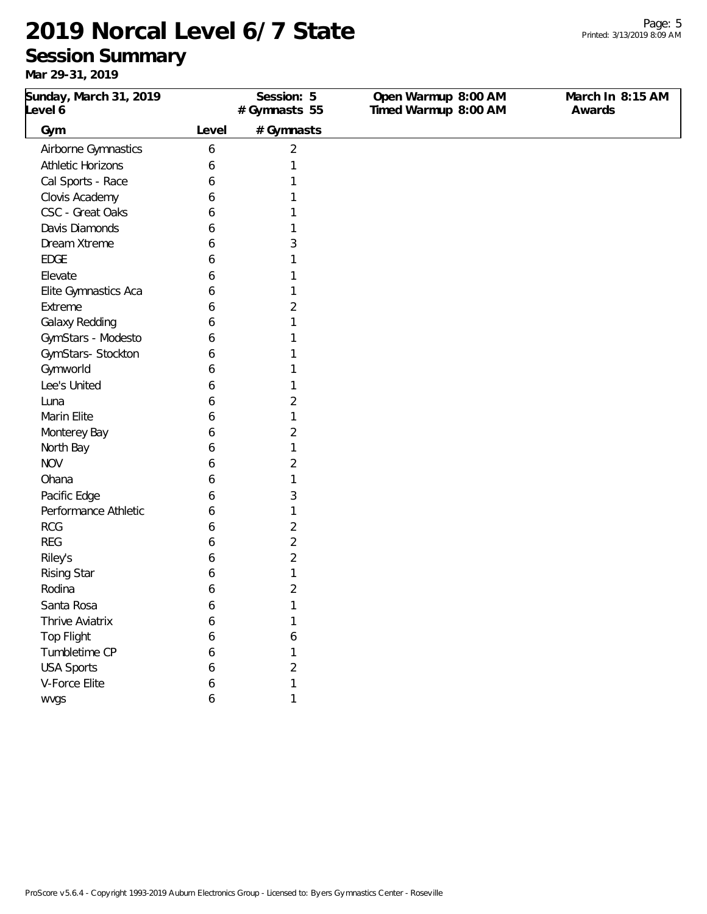### **Session Summary**

**Mar 29-31, 2019**

| Sunday, March 31, 2019<br>Level 6 |       | Session: 5<br>#Gymnasts 55 | Open Warmup 8:00 AM<br>Timed Warmup 8:00 AM | March In 8:15 AM<br>Awards |
|-----------------------------------|-------|----------------------------|---------------------------------------------|----------------------------|
| Gym                               | Level | # Gymnasts                 |                                             |                            |
| Airborne Gymnastics               | 6     | $\overline{2}$             |                                             |                            |
| <b>Athletic Horizons</b>          | 6     | 1                          |                                             |                            |
| Cal Sports - Race                 | 6     | 1                          |                                             |                            |
| Clovis Academy                    | 6     | 1                          |                                             |                            |
| CSC - Great Oaks                  | 6     | 1                          |                                             |                            |
| Davis Diamonds                    | 6     | 1                          |                                             |                            |
| Dream Xtreme                      | 6     | 3                          |                                             |                            |
| <b>EDGE</b>                       | 6     | 1                          |                                             |                            |
| Elevate                           | 6     | 1                          |                                             |                            |
| Elite Gymnastics Aca              | 6     | 1                          |                                             |                            |
| Extreme                           | 6     | 2                          |                                             |                            |
| Galaxy Redding                    | 6     | 1                          |                                             |                            |
| GymStars - Modesto                | 6     | 1                          |                                             |                            |
| GymStars- Stockton                | 6     | 1                          |                                             |                            |
| Gymworld                          | 6     | 1                          |                                             |                            |
| Lee's United                      | 6     | 1                          |                                             |                            |
| Luna                              | 6     | $\overline{2}$             |                                             |                            |
| Marin Elite                       | 6     | 1                          |                                             |                            |
| Monterey Bay                      | 6     | $\overline{2}$             |                                             |                            |
| North Bay                         | 6     | 1                          |                                             |                            |
| <b>NOV</b>                        | 6     | $\overline{2}$             |                                             |                            |
| Ohana                             | 6     | 1                          |                                             |                            |
| Pacific Edge                      | 6     | 3                          |                                             |                            |
| Performance Athletic              | 6     | 1                          |                                             |                            |
| <b>RCG</b>                        | 6     | 2                          |                                             |                            |
| <b>REG</b>                        | 6     | $\overline{2}$             |                                             |                            |
| Riley's                           | 6     | 2                          |                                             |                            |
| <b>Rising Star</b>                | 6     | 1                          |                                             |                            |
| Rodina                            | 6     | 2                          |                                             |                            |
| Santa Rosa                        | 6     | 1                          |                                             |                            |
| Thrive Aviatrix                   | 6     | 1                          |                                             |                            |
| <b>Top Flight</b>                 | 6     | 6                          |                                             |                            |
| Tumbletime CP                     | 6     | 1                          |                                             |                            |
| <b>USA Sports</b>                 | 6     | $\overline{2}$             |                                             |                            |
| V-Force Elite                     | 6     | 1                          |                                             |                            |

wvgs  $6$  1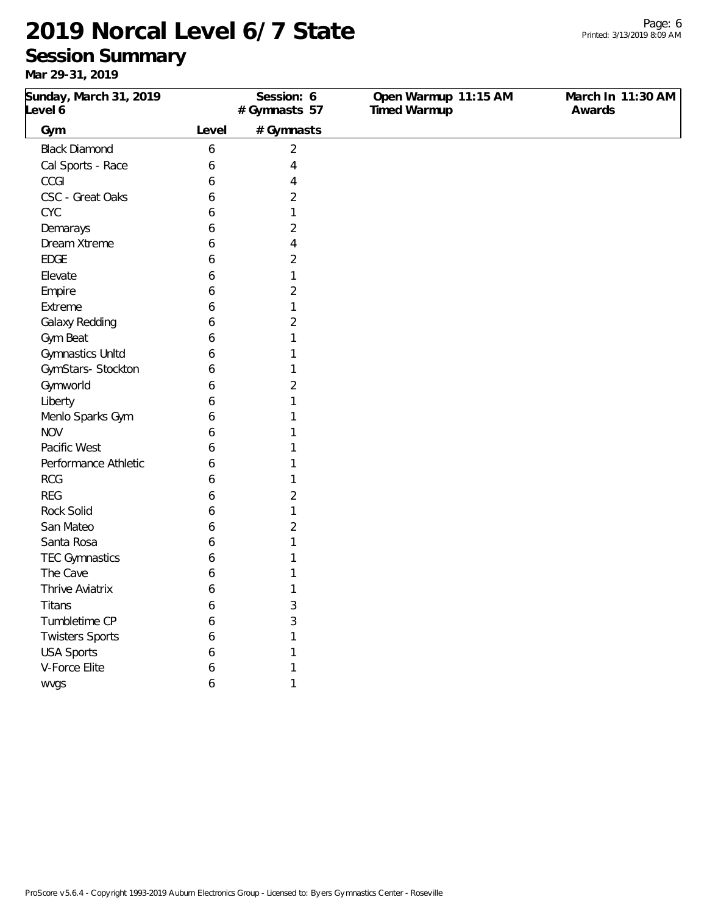#### **Session Summary**

| $101 \times 2 \times 311 \times 201$ |       |                            |                                      |                             |
|--------------------------------------|-------|----------------------------|--------------------------------------|-----------------------------|
| Sunday, March 31, 2019<br>Level 6    |       | Session: 6<br>#Gymnasts 57 | Open Warmup 11:15 AM<br>Timed Warmup | March In 11:30 AM<br>Awards |
| Gym                                  | Level | # Gymnasts                 |                                      |                             |
| <b>Black Diamond</b>                 | 6     | $\overline{2}$             |                                      |                             |
| Cal Sports - Race                    | 6     | 4                          |                                      |                             |
| CCGI                                 | 6     | 4                          |                                      |                             |
| CSC - Great Oaks                     | 6     | 2                          |                                      |                             |
| <b>CYC</b>                           | 6     | 1                          |                                      |                             |
| Demarays                             | 6     | 2                          |                                      |                             |
| Dream Xtreme                         | 6     | 4                          |                                      |                             |
| <b>EDGE</b>                          | 6     | 2                          |                                      |                             |
| Elevate                              | 6     | 1                          |                                      |                             |
| Empire                               | 6     | 2                          |                                      |                             |
| Extreme                              | 6     | 1                          |                                      |                             |
| Galaxy Redding                       | 6     | 2                          |                                      |                             |
| Gym Beat                             | 6     | 1                          |                                      |                             |
| Gymnastics Unltd                     | 6     |                            |                                      |                             |
| GymStars- Stockton                   | 6     |                            |                                      |                             |
| Gymworld                             | 6     | 2                          |                                      |                             |
| Liberty                              | 6     |                            |                                      |                             |
| Menlo Sparks Gym                     | 6     |                            |                                      |                             |
| <b>NOV</b>                           | 6     |                            |                                      |                             |
| Pacific West                         | 6     |                            |                                      |                             |
| Performance Athletic                 | 6     |                            |                                      |                             |
| <b>RCG</b>                           | 6     |                            |                                      |                             |
| <b>REG</b>                           | 6     | 2                          |                                      |                             |
| <b>Rock Solid</b>                    | 6     | 1                          |                                      |                             |
| San Mateo                            | 6     | 2                          |                                      |                             |
| Santa Rosa                           | 6     |                            |                                      |                             |
| <b>TEC Gymnastics</b>                | 6     |                            |                                      |                             |
| The Cave                             | 6     |                            |                                      |                             |
| Thrive Aviatrix                      | 6     | 1                          |                                      |                             |
| Titans                               | 6     | 3                          |                                      |                             |
| Tumbletime CP                        | 6     | 3                          |                                      |                             |
| <b>Twisters Sports</b>               | 6     |                            |                                      |                             |
| <b>USA Sports</b>                    | 6     |                            |                                      |                             |
| V-Force Elite                        | 6     |                            |                                      |                             |
| wvgs                                 | 6     |                            |                                      |                             |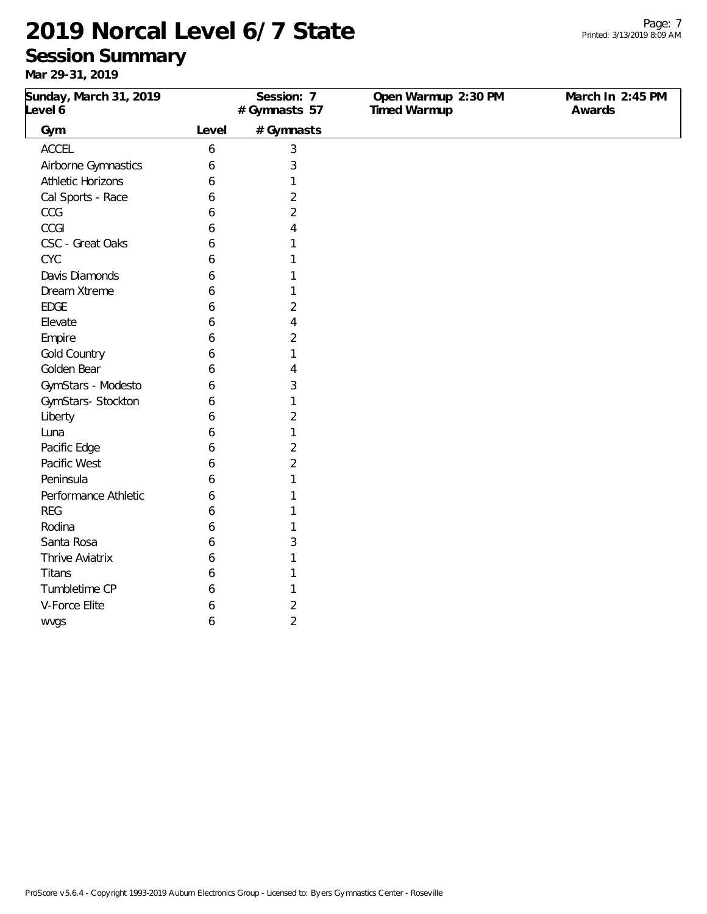### **Session Summary**

| Sunday, March 31, 2019<br>Level 6 |       | Session: 7<br>#Gymnasts 57 | Open Warmup 2:30 PM<br>Timed Warmup | March In 2:45 PM<br>Awards |
|-----------------------------------|-------|----------------------------|-------------------------------------|----------------------------|
|                                   |       |                            |                                     |                            |
| Gym                               | Level | # Gymnasts                 |                                     |                            |
| ACCEL                             | 6     | 3                          |                                     |                            |
| Airborne Gymnastics               | 6     | 3                          |                                     |                            |
| <b>Athletic Horizons</b>          | 6     | 1                          |                                     |                            |
| Cal Sports - Race                 | 6     | $\overline{2}$             |                                     |                            |
| CCG                               | 6     | $\overline{2}$             |                                     |                            |
| CCGI                              | 6     | 4                          |                                     |                            |
| CSC - Great Oaks                  | 6     | 1                          |                                     |                            |
| <b>CYC</b>                        | 6     | 1                          |                                     |                            |
| Davis Diamonds                    | 6     | 1                          |                                     |                            |
| Dream Xtreme                      | 6     | 1                          |                                     |                            |
| <b>EDGE</b>                       | 6     | $\overline{2}$             |                                     |                            |
| Elevate                           | 6     | 4                          |                                     |                            |
| Empire                            | 6     | $\overline{2}$             |                                     |                            |
| Gold Country                      | 6     | 1                          |                                     |                            |
| Golden Bear                       | 6     | 4                          |                                     |                            |
| GymStars - Modesto                | 6     | 3                          |                                     |                            |
| GymStars-Stockton                 | 6     | 1                          |                                     |                            |
| Liberty                           | 6     | 2                          |                                     |                            |
| Luna                              | 6     | 1                          |                                     |                            |
| Pacific Edge                      | 6     | $\overline{2}$             |                                     |                            |
| Pacific West                      | 6     | 2                          |                                     |                            |
| Peninsula                         | 6     | 1                          |                                     |                            |
| Performance Athletic              | 6     | 1                          |                                     |                            |
| <b>REG</b>                        | 6     |                            |                                     |                            |
| Rodina                            | 6     | 1                          |                                     |                            |
| Santa Rosa                        | 6     | 3                          |                                     |                            |
| Thrive Aviatrix                   | 6     | 1                          |                                     |                            |
| Titans                            | 6     | 1                          |                                     |                            |
| Tumbletime CP                     | 6     | 1                          |                                     |                            |
| V-Force Elite                     | 6     | $\overline{2}$             |                                     |                            |
| wvgs                              | 6     | $\overline{2}$             |                                     |                            |